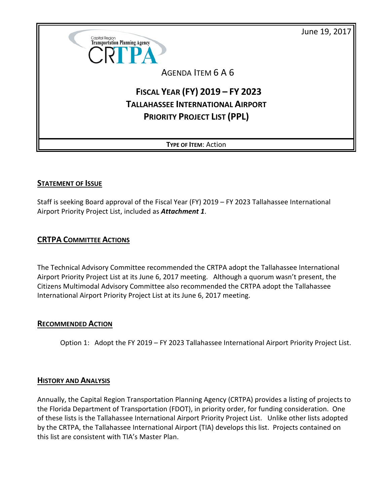June 19, 2017



AGENDA ITEM 6 A 6

# **FISCAL YEAR (FY) 2019 – FY 2023 TALLAHASSEE INTERNATIONAL AIRPORT PRIORITY PROJECT LIST (PPL)**

**TYPE OF ITEM**: Action

#### **STATEMENT OF ISSUE**

Staff is seeking Board approval of the Fiscal Year (FY) 2019 – FY 2023 Tallahassee International Airport Priority Project List, included as *Attachment 1*.

### **CRTPA COMMITTEE ACTIONS**

The Technical Advisory Committee recommended the CRTPA adopt the Tallahassee International Airport Priority Project List at its June 6, 2017 meeting. Although a quorum wasn't present, the Citizens Multimodal Advisory Committee also recommended the CRTPA adopt the Tallahassee International Airport Priority Project List at its June 6, 2017 meeting.

#### **RECOMMENDED ACTION**

Option 1: Adopt the FY 2019 – FY 2023 Tallahassee International Airport Priority Project List.

#### **HISTORY AND ANALYSIS**

Annually, the Capital Region Transportation Planning Agency (CRTPA) provides a listing of projects to the Florida Department of Transportation (FDOT), in priority order, for funding consideration. One of these lists is the Tallahassee International Airport Priority Project List. Unlike other lists adopted by the CRTPA, the Tallahassee International Airport (TIA) develops this list. Projects contained on this list are consistent with TIA's Master Plan.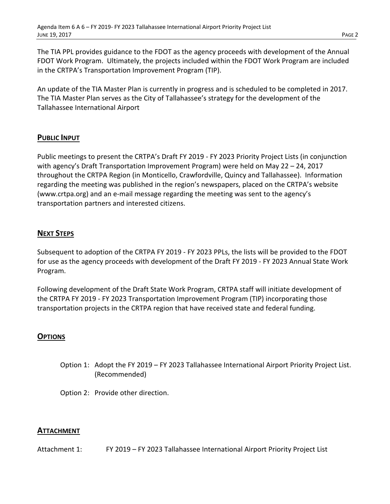The TIA PPL provides guidance to the FDOT as the agency proceeds with development of the Annual FDOT Work Program. Ultimately, the projects included within the FDOT Work Program are included in the CRTPA's Transportation Improvement Program (TIP).

An update of the TIA Master Plan is currently in progress and is scheduled to be completed in 2017. The TIA Master Plan serves as the City of Tallahassee's strategy for the development of the Tallahassee International Airport

### **PUBLIC INPUT**

Public meetings to present the CRTPA's Draft FY 2019 - FY 2023 Priority Project Lists (in conjunction with agency's Draft Transportation Improvement Program) were held on May 22 – 24, 2017 throughout the CRTPA Region (in Monticello, Crawfordville, Quincy and Tallahassee). Information regarding the meeting was published in the region's newspapers, placed on the CRTPA's website (www.crtpa.org) and an e-mail message regarding the meeting was sent to the agency's transportation partners and interested citizens.

## **NEXT STEPS**

Subsequent to adoption of the CRTPA FY 2019 - FY 2023 PPLs, the lists will be provided to the FDOT for use as the agency proceeds with development of the Draft FY 2019 - FY 2023 Annual State Work Program.

Following development of the Draft State Work Program, CRTPA staff will initiate development of the CRTPA FY 2019 - FY 2023 Transportation Improvement Program (TIP) incorporating those transportation projects in the CRTPA region that have received state and federal funding.

#### **OPTIONS**

Option 1: Adopt the FY 2019 – FY 2023 Tallahassee International Airport Priority Project List. (Recommended)

Option 2: Provide other direction.

#### **ATTACHMENT**

Attachment 1: FY 2019 – FY 2023 Tallahassee International Airport Priority Project List